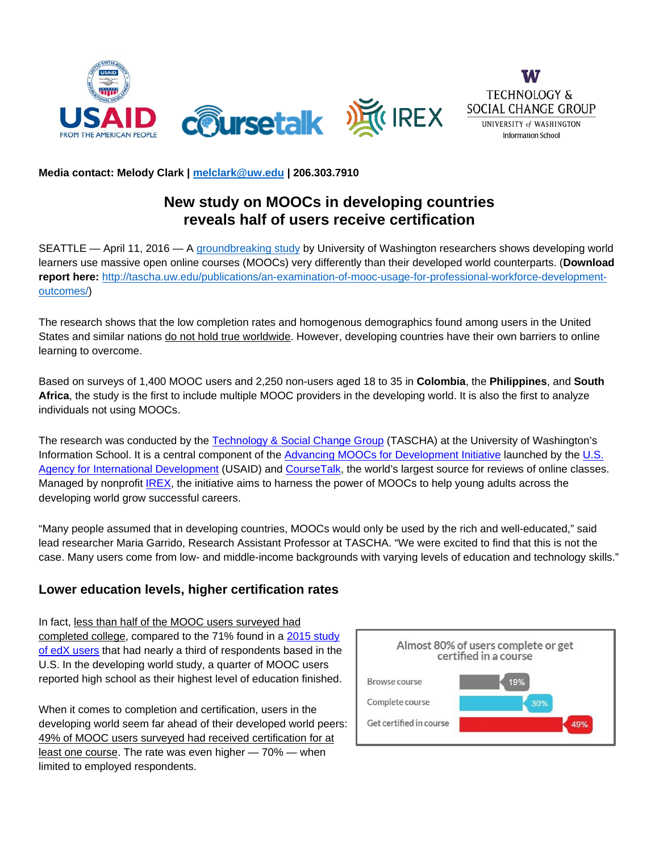

## **Media contact: Melody Clark | [melclark@uw.edu](mailto:melclark@uw.edu) | 206.303.7910**

## **New study on MOOCs in developing countries reveals half of users receive certification**

SEATTLE — April 11, 2016 — A [groundbreaking study](https://research.coursetalk.com/advancingmoocs/) by University of Washington researchers shows developing world learners use massive open online courses (MOOCs) very differently than their developed world counterparts. (**Download report here:** [http://tascha.uw.edu/publications/an-examination-of-mooc-usage-for-professional-workforce-development](http://tascha.uw.edu/publications/an-examination-of-mooc-usage-for-professional-workforce-development-outcomes/)[outcomes/\)](http://tascha.uw.edu/publications/an-examination-of-mooc-usage-for-professional-workforce-development-outcomes/)

The research shows that the low completion rates and homogenous demographics found among users in the United States and similar nations do not hold true worldwide. However, developing countries have their own barriers to online learning to overcome.

Based on surveys of 1,400 MOOC users and 2,250 non-users aged 18 to 35 in **Colombia**, the **Philippines**, and **South Africa**, the study is the first to include multiple MOOC providers in the developing world. It is also the first to analyze individuals not using MOOCs.

The research was conducted by the [Technology & Social Change Group](http://tascha.uw.edu/) (TASCHA) at the University of Washington's Information School. It is a central component of the [Advancing MOOCs for Development Initiative](http://www.coursetalk.com/advancingmoocs) launched by the U.S. [Agency for International Development](http://www.usaid.gov/) (USAID) and [CourseTalk,](http://www.coursetalk.com/) the world's largest source for reviews of online classes. Managed by nonprofit [IREX,](https://www.irex.org/) the initiative aims to harness the power of MOOCs to help young adults across the developing world grow successful careers.

"Many people assumed that in developing countries, MOOCs would only be used by the rich and well-educated," said lead researcher Maria Garrido, Research Assistant Professor at TASCHA. "We were excited to find that this is not the case. Many users come from low- and middle-income backgrounds with varying levels of education and technology skills."

## **Lower education levels, higher certification rates**

In fact, less than half of the MOOC users surveyed had completed college, compared to the 71% found in a [2015 study](http://dspace.mit.edu/bitstream/handle/1721.1/96825/SSRN-id2586847.pdf)  [of edX users](http://dspace.mit.edu/bitstream/handle/1721.1/96825/SSRN-id2586847.pdf) that had nearly a third of respondents based in the U.S. In the developing world study, a quarter of MOOC users reported high school as their highest level of education finished.

When it comes to completion and certification, users in the developing world seem far ahead of their developed world peers: 49% of MOOC users surveyed had received certification for at least one course. The rate was even higher — 70% — when limited to employed respondents.